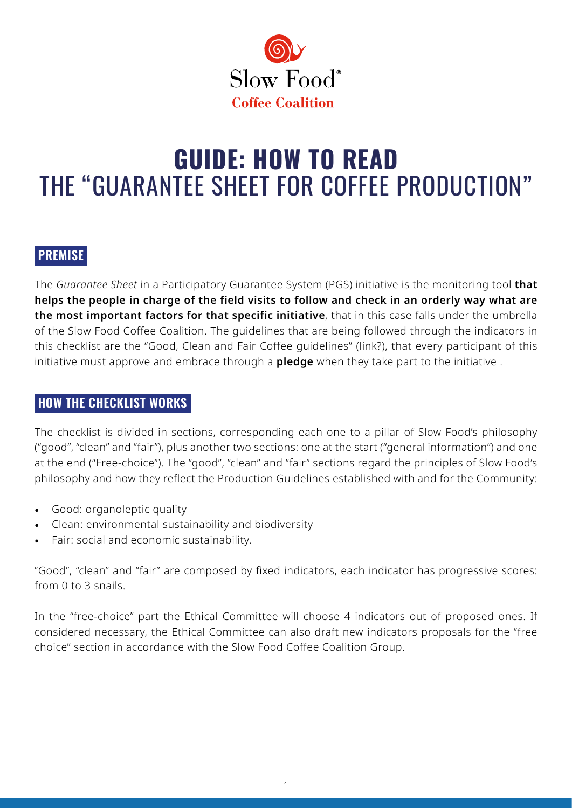

# **GUIDE: HOW TO READ**  THE "GUARANTEE SHEET FOR COFFEE PRODUCTION"

## **PREMISE**

The *Guarantee Sheet* in a Participatory Guarantee System (PGS) initiative is the monitoring tool **that helps the people in charge of the field visits to follow and check in an orderly way what are the most important factors for that specific initiative**, that in this case falls under the umbrella of the Slow Food Coffee Coalition. The guidelines that are being followed through the indicators in this checklist are the "Good, Clean and Fair Coffee guidelines" (link?), that every participant of this initiative must approve and embrace through a **pledge** when they take part to the initiative .

#### **HOW THE CHECKLIST WORKS**

The checklist is divided in sections, corresponding each one to a pillar of Slow Food's philosophy ("good", "clean" and "fair"), plus another two sections: one at the start ("general information") and one at the end ("Free-choice"). The "good", "clean" and "fair" sections regard the principles of Slow Food's philosophy and how they reflect the Production Guidelines established with and for the Community:

- Good: organoleptic quality
- Clean: environmental sustainability and biodiversity
- Fair: social and economic sustainability.

"Good", "clean" and "fair" are composed by fixed indicators, each indicator has progressive scores: from 0 to 3 snails.

In the "free-choice" part the Ethical Committee will choose 4 indicators out of proposed ones. If considered necessary, the Ethical Committee can also draft new indicators proposals for the "free choice" section in accordance with the Slow Food Coffee Coalition Group.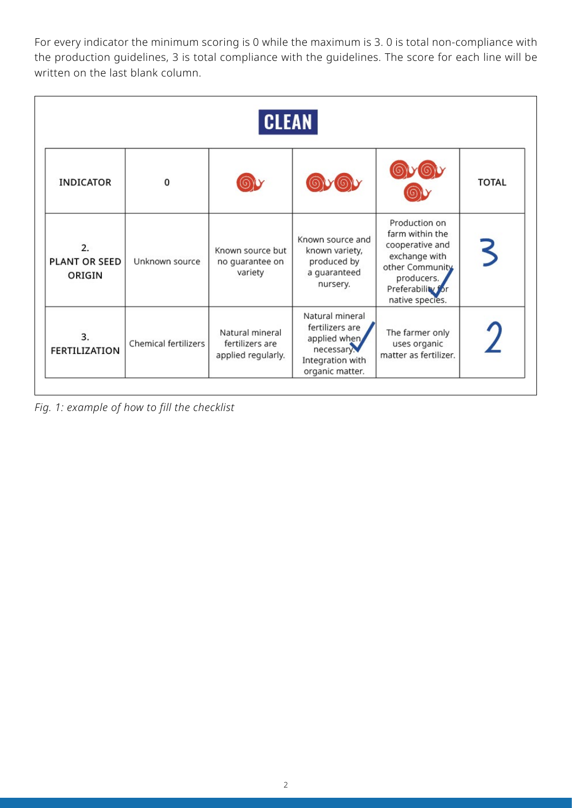For every indicator the minimum scoring is 0 while the maximum is 3. 0 is total non-compliance with the production guidelines, 3 is total compliance with the guidelines. The score for each line will be written on the last blank column.

|                                      |                      | <b>CLEAN</b>                                             |                                                                                                         |                                                                                                                                               |              |
|--------------------------------------|----------------------|----------------------------------------------------------|---------------------------------------------------------------------------------------------------------|-----------------------------------------------------------------------------------------------------------------------------------------------|--------------|
| <b>INDICATOR</b>                     | $\Omega$             |                                                          |                                                                                                         |                                                                                                                                               | <b>TOTAL</b> |
| 2.<br><b>PLANT OR SEED</b><br>ORIGIN | Unknown source       | Known source but<br>no guarantee on<br>variety           | Known source and<br>known variety,<br>produced by<br>a guaranteed<br>nursery.                           | Production on<br>farm within the<br>cooperative and<br>exchange with<br>other Community<br>producers.<br>Preferability for<br>native species. |              |
| 3.<br><b>FERTILIZATION</b>           | Chemical fertilizers | Natural mineral<br>fertilizers are<br>applied regularly. | Natural mineral<br>fertilizers are<br>applied when<br>necessary.<br>Integration with<br>organic matter. | The farmer only<br>uses organic<br>matter as fertilizer.                                                                                      |              |

*Fig. 1: example of how to fill the checklist*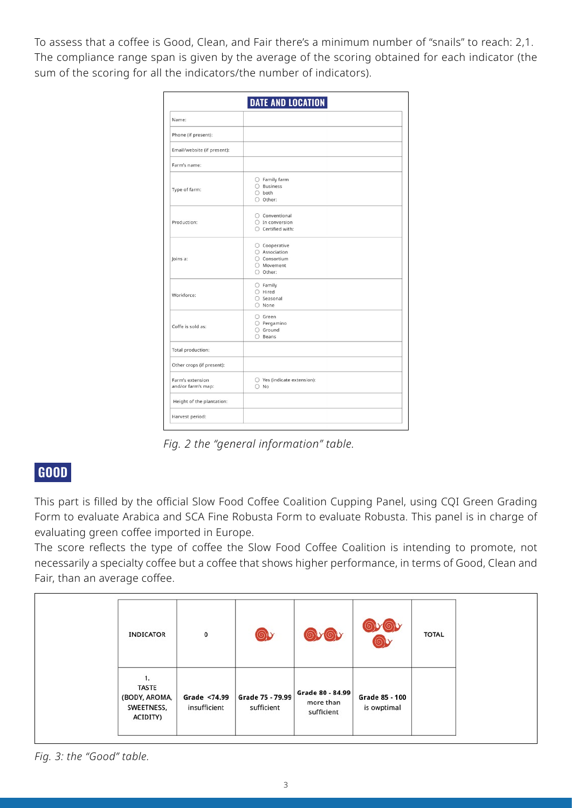To assess that a coffee is Good, Clean, and Fair there's a minimum number of "snails" to reach: 2,1. The compliance range span is given by the average of the scoring obtained for each indicator (the sum of the scoring for all the indicators/the number of indicators).

|                                        | <b>DATE AND LOCATION</b>                                                     |
|----------------------------------------|------------------------------------------------------------------------------|
| Name:                                  |                                                                              |
| Phone (if present):                    |                                                                              |
| Email/website (if present):            |                                                                              |
| Farm's name:                           |                                                                              |
| Type of farm:                          | $\bigcirc$ Family farm<br>$\bigcirc$ Business<br>$\bigcirc$ both<br>O Other: |
| Production:                            | ○ Conventional<br>$\bigcirc$ In conversion<br>$\bigcirc$ Certified with:     |
| Joins a:                               | ○ Cooperative<br>○ Association<br>○ Consortium<br>○ Movement<br>O Other:     |
| Workforce:                             | $\bigcirc$ Family<br>$\bigcirc$ Hired<br>$O$ Seasonal<br>$\bigcirc$ None     |
| Coffe is sold as:                      | $O$ Green<br>O Pergamino<br>○ Ground<br>$\bigcirc$ Beans                     |
| Total production:                      |                                                                              |
| Other crops (if present):              |                                                                              |
| Farm's extension<br>and/or farm's map: | ○ Yes (indicate extension):<br>$\bigcirc$ No                                 |
| Height of the plantation:              |                                                                              |
| Harvest period:                        |                                                                              |

*Fig. 2 the "general information" table.* 

## **GOOD**

This part is filled by the official Slow Food Coffee Coalition Cupping Panel, using CQI Green Grading Form to evaluate Arabica and SCA Fine Robusta Form to evaluate Robusta. This panel is in charge of evaluating green coffee imported in Europe.

The score reflects the type of coffee the Slow Food Coffee Coalition is intending to promote, not necessarily a specialty coffee but a coffee that shows higher performance, in terms of Good, Clean and Fair, than an average coffee.

| <b>INDICATOR</b>                                              | 0                            | $\circledcirc$                 | <b>DVOU</b>                                 |                               | <b>TOTAL</b> |
|---------------------------------------------------------------|------------------------------|--------------------------------|---------------------------------------------|-------------------------------|--------------|
| 1.<br><b>TASTE</b><br>(BODY, AROMA,<br>SWEETNESS,<br>ACIDITY) | Grade <74.99<br>insufficient | Grade 75 - 79.99<br>sufficient | Grade 80 - 84.99<br>more than<br>sufficient | Grade 85 - 100<br>is owptimal |              |

*Fig. 3: the "Good" table.* 

coffee of the company of the company of the company of the company of the company of the company of the company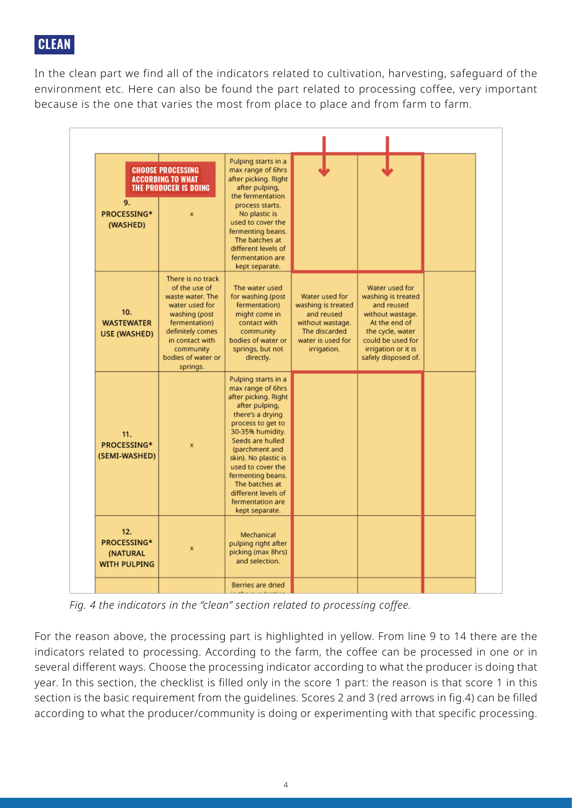# **CLEAN**

In the clean part we find all of the indicators related to cultivation, harvesting, safeguard of the environment etc. Here can also be found the part related to processing coffee, very important because is the one that varies the most from place to place and from farm to farm.

| 9.<br>PROCESSING*<br>(WASHED)                         | <b>CHOOSE PROCESSING</b><br><b>ACCORDING TO WHAT</b><br>THE PRODUCER IS DOING<br>$\mathbf{x}$                                                                                                    | Pulping starts in a<br>max range of 6hrs<br>after picking. Right<br>after pulping,<br>the fermentation<br>process starts.<br>No plastic is<br>used to cover the<br>fermenting beans.<br>The batches at<br>different levels of<br>fermentation are<br>kept separate.                                                                    |                                                                                                                             |                                                                                                                                                                                |  |
|-------------------------------------------------------|--------------------------------------------------------------------------------------------------------------------------------------------------------------------------------------------------|----------------------------------------------------------------------------------------------------------------------------------------------------------------------------------------------------------------------------------------------------------------------------------------------------------------------------------------|-----------------------------------------------------------------------------------------------------------------------------|--------------------------------------------------------------------------------------------------------------------------------------------------------------------------------|--|
| 10.<br><b>WASTEWATER</b><br><b>USE (WASHED)</b>       | There is no track<br>of the use of<br>waste water. The<br>water used for<br>washing (post<br>fermentation)<br>definitely comes<br>in contact with<br>community<br>bodies of water or<br>springs. | The water used<br>for washing (post<br>fermentation)<br>might come in<br>contact with<br>community<br>bodies of water or<br>springs, but not<br>directly.                                                                                                                                                                              | Water used for<br>washing is treated<br>and reused<br>without wastage.<br>The discarded<br>water is used for<br>irrigation. | Water used for<br>washing is treated<br>and reused<br>without wastage.<br>At the end of<br>the cycle, water<br>could be used for<br>irrigation or it is<br>safely disposed of. |  |
| 11.<br>PROCESSING*<br>(SEMI-WASHED)                   | ×                                                                                                                                                                                                | Pulping starts in a<br>max range of 6hrs<br>after picking. Right<br>after pulping,<br>there's a drying<br>process to get to<br>30-35% humidity.<br>Seeds are hulled<br>(parchment and<br>skin). No plastic is<br>used to cover the<br>fermenting beans.<br>The batches at<br>different levels of<br>fermentation are<br>kept separate. |                                                                                                                             |                                                                                                                                                                                |  |
| 12.<br>PROCESSING*<br>(NATURAL<br><b>WITH PULPING</b> | $\mathbf{x}$                                                                                                                                                                                     | Mechanical<br>pulping right after<br>picking (max 8hrs)<br>and selection.                                                                                                                                                                                                                                                              |                                                                                                                             |                                                                                                                                                                                |  |
|                                                       |                                                                                                                                                                                                  |                                                                                                                                                                                                                                                                                                                                        |                                                                                                                             |                                                                                                                                                                                |  |

*Fig. 4 the indicators in the "clean" section related to processing coffee.*

For the reason above, the processing part is highlighted in yellow. From line 9 to 14 there are the indicators related to processing. According to the farm, the coffee can be processed in one or in several different ways. Choose the processing indicator according to what the producer is doing that year. In this section, the checklist is filled only in the score 1 part: the reason is that score 1 in this section is the basic requirement from the guidelines. Scores 2 and 3 (red arrows in fig.4) can be filled according to what the producer/community is doing or experimenting with that specific processing.